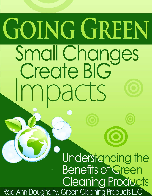# **GOING GREEN** Small Changes<br>Create BIG Impacts

**Understanding the Benefits of Green** Cleaning Products<br>Rae Ann Dougherty, Green Cleaning Products LLC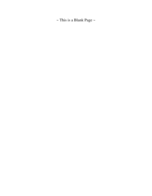$\sim$  This is a Blank Page  $\sim$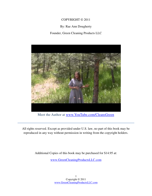#### COPYRIGHT © 2011

#### By: Rae Ann Dougherty

#### Founder, Green Cleaning Products LLC



Meet the Author at [www.YouTube.com/CleansGreen](http://www.youtube.com/watch?v=6TkiD2DnKHM&context=C311a4b7ADOEgsToPDskK6ofgupiIp6JHfcnz5-KvZ)

All rights reserved. Except as provided under U.S. law, no part of this book may be reproduced in any way without permission in writing from the copyright holders.

Additional Copies of this book may be purchased for \$14.95 at:

[www.GreenCleaningProductsLLC.com](http://www.greencleaningproductsllc.com/)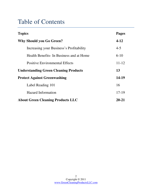## Table of Contents

| <b>Topics</b>                                | <b>Pages</b> |
|----------------------------------------------|--------------|
| <b>Why Should you Go Green?</b>              | $4 - 12$     |
| Increasing your Business's Profitability     | $4 - 5$      |
| Health Benefits - In Business and at Home    | $6-10$       |
| <b>Positive Environmental Effects</b>        | $11 - 12$    |
| <b>Understanding Green Cleaning Products</b> | 13           |
|                                              |              |
| <b>Protect Against Greenwashing</b>          | 14-19        |
| Label Reading 101                            | 16           |
| <b>Hazard Information</b>                    | $17-19$      |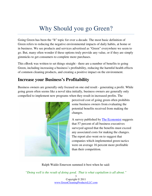## Why Should you go Green?

Going Green has been the "It" topic for over a decade. The most basic definition of Green refers to reducing the negative environmental impacts of daily habits, at home or in business. We see products and services advertised as "Green" everywhere we seem to go. But, many often wonder if these options truly provide any value, or if they are simply gimmicks to get consumers to complete more purchases.

This eBook was written to set things straight - there are a number of benefits to going Green, including increasing a business's profitability, reducing the harmful health effects of common cleaning products, and creating a positive impact on the environment.

### **Increase your Business's Profitability**

Business owners are generally only focused on one end result - generating a profit. While going green often seems like a novel idea initially, business owners are generally only compelled to implement new programs when they result in increased profits. The



perceived cost of going green often prohibits some business owners from evaluating the potential benefits received from making the changes.

A survey published by [The Economist](http://graphics.eiu.com/upload/Sustainability_allsponsors.pdf) suggests that 57 percent of all business executives surveyed agreed that the benefits must exceed any associated costs for making the changes. The report also went on to suggest that companies which implemented green tactics were on average 16 percent more profitable than their competition.

Ralph Waldo Emerson summed it best when he said:

3 Copyright © 2011 [www.GreenCleaningProductsLLC.com](http://www.greencleaningproductsllc.com/)  *"Doing well is the result of doing good. That is what capitalism is all about."*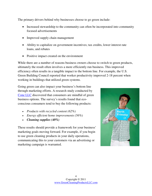The primary drivers behind why businesses choose to go green include:

- Increased stewardship to the community can often be incorporated into community focused advertisements
- Improved supply chain management
- Ability to capitalize on government incentives; tax credits, lower interest rate loans, and rebates
- Positive impact created on the environment

While there are a number of reasons business owners choose to switch to green products, ultimately the result often involves a more efficiently run business. This improved efficiency often results in a tangible impact to the bottom line. For example, the U.S. Green Building Council reported that worker productivity improved 2-18 percent when working in buildings that utilized green systems.

Going green can also impact your business's bottom line through marketing efforts. A research study conducted by [Cone LLC](http://greencleaningproductsllc.com/why-green-cleaning-products-are-important-for-your-business/) discovered that consumers are mindful of green business options. The survey's results found that ecoconscious consumers tend to buy the following products:

- *Products with recycled content (62%)*
- *Energy efficient home improvements (56%)*
- *Cleaning supplies (48%)*

These results should provide a framework for your business' marketing goals moving forward. For example, if you begin to use green cleaning products in your daily operations, communicating this to your customers via an advertising or marketing campaign is warranted.

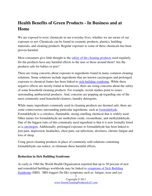## **Health Benefits of Green Products - In Business and at Home**

We are exposed to toxic chemicals in our everyday lives, whether we are aware of our exposure or not. Chemicals can be found in cosmetic products, plastics, building materials, and cleaning products. Regular exposure to some of these chemicals has been proven harmful.

Most consumers give little thought to the [safety of the cleaning products](http://greencleaningproductsllc.com/green-cleaning-supplies-and-products-homes-and-businesses-go-green-cleaning/) used regularly. Do the products have any harmful effects to the user or those around them? Are the products safe for babies or pets?

There are rising concerns about exposure to ingredients found in many common cleaning solutions. Some solutions include ingredients that are known carcinogens and prolonged exposure to chemical fumes has been linked to [sick building syndrome.](http://greencleaningproductsllc.com/green-cleaning-products-minimize-sick-building-syndrome/) While these negative effects are mostly found in businesses, there are rising concerns about the safety of some household cleaning products. For example, recent studies point to issues surrounding antibacterial products. And, concerns are popping up regarding one of the most commonly used household cleaners; laundry detergents.

While many ingredients commonly used in cleaning products are deemed safe, there are some controversies surrounding particular ingredients, such as [formaldehyde.](http://greencleaningproductsllc.com/formaldehyde-and-cancer-risk-why-use-green-cleaning-products/) Formaldehyde is a colorless, flammable, strong-smelling chemical that is widely used. Other names for formaldehyde are methylene oxide, oxomethane, and methylaldehyde. One of the biggest risks of this commonly used ingredient is that it is now formally listed as a [carcinogen.](http://greencleaningproductsllc.com/formaldehyde-listed-as-carcinogengreen-cleaning-products-free-of-it/) Additionally, prolonged exposure to formaldehyde has been linked to join pain, depression, headaches, chest pain, ear infections, dizziness, chronic fatigue and loss of sleep.

Using green cleaning products in place of commonly sold solutions containing formaldehyde can reduce, or eliminate these harmful effects.

#### **Reduction in Sick Building Syndrome**

As early as 1984 the World Health Organization reported that up to 30 percent of new and remodeled buildings worldwide may be linked to [symptoms of Sick Building](http://greencleaningproductsllc.com/green-cleaning-products-minimize-sick-building-syndrome/)  [Syndrome](http://greencleaningproductsllc.com/green-cleaning-products-minimize-sick-building-syndrome/) (SBS). SBS triggers flu-like symptoms such as: fatigue, nose and eye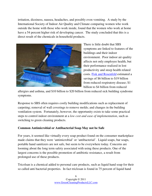irritation, dizziness, nausea, headaches, and possibly even vomiting. A study by the International Society of Indoor Air Quality and Climate comparing women who work outside the home with those who work inside, found that the women who work at home have a 54 percent higher risk of developing cancer. The study concluded that this is a direct result of the chemicals in household products.



There is little doubt that SBS symptoms are linked to features of the buildings and their indoor environment. Poor indoor air quality affects not only employee health, but their performance realized in lost productivity and steep health related costs. [Fisk and Rosenfeld](http://soer.justice.tas.gov.au/2009/source/114/index.php) estimated a savings of \$6 billion to \$19 billion from reduced respiratory disease; \$1 billion to \$4 billion from reduced

allergies and asthma, and \$10 billion to \$20 billion from reduced sick building syndrome symptoms.

Response to SBS often requires costly building modifications such as replacement of carpeting; removal of wall coverings to remove molds; and changes in the building ventilation system. Fortunately, however, the opportunity exists to take some practical steps to control indoor environment at a *low cost and ease of implementation*, such as switching to green cleaning products.

#### **Common Antimicrobial or Antibacterial Soap May not be Safe**

For years, it seemed like virtually every soap product found on the consumer marketplace made claims that they were 'antimicrobial' or 'antibacterial'. Liquid soaps, bar soaps, portable hand sanitizers are not safe, but seem to be everywhere today. Concerns are looming about the long term safety associated with using these products. One of the largest concerns is the possible promotion of antibiotic resistance, a result from prolonged use of these products.

Tricolsan is a chemical added to personal care products, such as liquid hand soap for their so called anti bacterial properties. In fact triclosan is found in 75 percent of liquid hand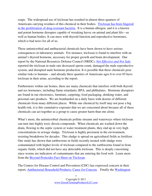soaps. The widespread use of triclosan has resulted in almost three-quarters of Americans carrying residues of this chemical in their bodies. [Triclosan has been fingered](http://greencleaningproductsllc.com/is-antimicrobial-hand-soap-safe-or-do-i-seek-green-cleaning-products/)  [in the proliferation of drug-resistant bacteria.](http://greencleaningproductsllc.com/is-antimicrobial-hand-soap-safe-or-do-i-seek-green-cleaning-products/) It is a human allergen, and it is a known and potent hormone disruptor capable of wreaking havoc on animal and plant life—as well as human bodies. It can mess with thyroid function and reproductive hormones, which is bad news for all of us.

These antimicrobial and antibacterial chemicals have been shown to have serious consequences in laboratory animals. For instance, triclosan is found to interfere with an animal's thyroid hormone, necessary for proper growth and brain development. One report by the National Resources Defense Council (NRDC), *[Not Effective and Not Safe,](http://www.nrdc.org/health/files/antimicrobials.pdf)* reported the triclosan in male rats decreased sperm count, damaged the male reproductive system, and disrupted male hormone production. It is possible that these chemicals pose similar risks to humans – and already three quarters of Americans ages 6 to over 65 have triclosan in their urine, according to the report.

Furthermore within our homes, there are many chemicals that interfere with both thyroid and sex hormones, including flame retardants, BPA, and phlthalates. Hormone disruptors are found in our electronics, furniture, carpeting, food packaging, drinking water, and personal care products. We are bombarded on a daily basis with dozens of different chemicals from many different places. While one chemical by itself may not pose a big health risk, it is this cumulative exposure that we are concerned about because all of these chemicals can act together as a group to cause greater harm than one alone.

What's more, the antimicrobial chemicals pollute streams and waterways where triclosan can turn into highly toxic dioxin compounds. When chemicals are washed down the drain, flowing to the septic system or water treatment plants, they end up in very high concentrations in sewage sludge. Triclosan is highly persistent in the environment, resisting breakdown for decades. This sludge is spread on agricultural fields as fertilizer. One study has shown that earthworms in fields recently treated with sludge were contaminated with higher levels of triclosan compared to the earthworms found in from organic fields, which did not have any detectable triclosan. This is deeply concerning since worms are indicators of contaminants that are entering the food web. Learn more from the [Beyond Pesticides Fact Sheet on Triclosan.](http://www.beyondpesticides.org/pesticides/factsheets/Triclosan%20cited.pdf)

The Centers for Disease Control and Prevention (CDC) has expressed concern in their report, [Antibacterial Household Products: Cause for Concern.](http://www.cdc.gov/ncidod/eid/vol7no3_supp/levy.htm) Finally the [Washington](http://www.washingtonpost.com/wp-dyn/content/article/2010/04/07/AR2010040704621.html)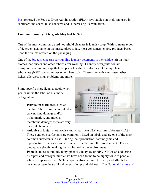[Post](http://www.washingtonpost.com/wp-dyn/content/article/2010/04/07/AR2010040704621.html) reported the Food & Drug Administration (FDA) says studies on triclosan, used in sanitizers and soaps, raise concerns and is increasing its evaluation.

#### **Common Laundry Detergents May Not be Safe**

One of the most commonly used household cleaners is laundry soap. With so many types of detergent available on the marketplace today, most consumers choose products based upon the claims offered on the packaging.

One of the [biggest concerns surrounding laundry detergents is the residue](http://greencleaningproductsllc.com/laundry-detergent-may-not-be-safe-use-green-laundry-detergent-with-your-green-cleaning-products/) left on your clothes, bed sheets and other fabrics after washing. Laundry detergents contain phosphorus, ammonia, naphthalene, phenol, sodium nitilotriacetate, nonylphenol ethoxylate (NPE), and countless other chemicals. These chemicals can cause rashes,

itches, allergies, sinus problems and more.

Some specific ingredients to avoid when you examine the label on a laundry detergent are:

• **Petroleum distillates**, such as napthas: These have been linked to cancer, lung damage and/or inflammation, and mucous membrane damage; these are very harmful chemicals.



- **Anionic surfactants**, otherwise known as linear alkyl sodium sulfonates (LAS): These synthetic surfactants are commonly listed on labels and are one of the most common surfactants in use. During their production, carcinogenic and reproductive toxins such as benzene are released into the environment. They also biodegrade slowly, making them a hazard in the environment.
- **Phenols**, more commonly nonyl phenol ethoxylate or NPE: NPE is an endocrine disruptor and estrogen mimic that have been found to be highly toxic to people who are hypersensitive. NPE is rapidly absorbed into the body and affects the nervous system, heart, blood vessels, lungs and kidneys. The National Institute of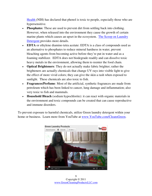[Health \(](http://www.nih.gov/)NIH) has declared that phenol is toxic to people, especially those who are hypersensitive*.* 

- **Phosphates**: These are used to prevent dirt from settling back into clothing. However, when released into the environment they cause the growth of certain marine plants which causes an upset in the ecosystem. [The Scoop on Laundry](http://greencleaningproductsllc.com/the-scoop-on-laundry-detergent-green-cleaning-products/)  [Detergent p](http://greencleaningproductsllc.com/the-scoop-on-laundry-detergent-green-cleaning-products/)rovides more details.
- **EDTA** or ethylene diamino tetra acetate: EDTA is a class of compounds used as an alternative to phosphates to reduce mineral hardness in water, prevent bleaching agents from becoming active before they're put in water and as a foaming stabilizer. EDTA does not biodegrade readily and can dissolve toxic heavy metals in the environment, allowing them to reenter the food chain.
- **Optical Brighteners**: They do not actually make fabric brighter; rather the brighteners are actually chemicals that change UV rays into visible light to give the effect of more vivid colors; they can give the skin a rash when exposed to sunlight. These chemicals are also toxic to fish.
- **Fragrances/Perfume**: Most of the artificial, synthetic fragrances are made from petroleum which has been linked to cancer, lung damage and inflammation; also very toxic to fish and mammals.
- **Household Bleach** (sodium hypochlorite): it can react with organic materials in the environment and toxic compounds can be created that can cause reproductive and immune disorders.

To prevent exposure to harmful chemicals, utilize Green laundry detergent within your home or business. Learn more from YouTube at [www.YouTube.com/CleansGreen.](http://www.youtube.com/watch?feature=endscreen&NR=1&v=7hv0tww9BQE)



9 Copyright © 2011 [www.GreenCleaningProductsLLC.com](http://www.greencleaningproductsllc.com/)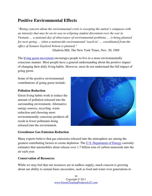## **Positive Environmental Effects**

*"Rising concern about the environmental crisis is sweeping the nation's campuses with an intensity that may be on its way to eclipsing student discontent over the war in Vietnam … a national day of observance of environmental problems … is being planned for next spring … when a nationwide environmental 'teach-in' … coordinated from the office of Senator Gaylord Nelson is planned."* 

Gladwin Hill, The New York Times, Nov. 30, 1969

The [living green movement](http://greencleaningproductsllc.com/earth-day-%e2%80%93-40-years-in-review-evolving-from-the-smokestack-to-promoting-green-cleaning-products/) encourages people to live in a more environmentally conscious manner. Most people have a general understanding about the positive impact of changing their daily living habits. However, most do not understand the full impact of going green.

Some of the positive environmental contributions of going green include:

#### **Pollution Reduction**

Green living habits work to reduce the amount of pollution released into the surrounding environment. Alternative energy sources, recycling, waste reduction and choosing more environmentally conscious products all result in fewer pollutants being released into the environment.



#### **Greenhouse Gas Emission Reduction**

Many experts believe that gas emissions released into the atmosphere are among the greatest contributing factors to ozone depletion. The [U.S. Department of Energy](http://energy.gov/articles/secretary-chus-testimony-senate-energy-and-water-development-subcommittee) currently estimates that automobiles alone release over 1.7 billion tons of carbon monoxide into the air each year.

#### **Conservation of Resources**

While we may feel that our resources are in endless supply, much concern is growing about our ability to sustain basic necessities, such as food and water over generations to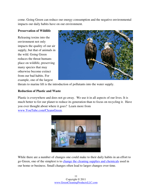come. Going Green can reduce our energy consumption and the negative environmental impacts our daily habits have on our environment.

#### **Preservation of Wildlife**

Releasing toxins into the environment not only impacts the quality of our air supply, but that of animals in the wild. Going Green reduces the threat humans place on wildlife, preserving many species that may otherwise become extinct from our bad habits. For example, one of the largest



threats to marine lift is the introduction of pollutants into the water supply.

#### **Reduction of Plastic and Waste**

Plastic is everywhere and does not go away. We use it in all aspects of our lives. It is much better to for our planet to reduce its generation than to focus on recycling it. Have you ever thought about where it goes? Learn more from [www.YouTube.com/CleansGreen.](http://www.youtube.com/watch?v=i4YvhVnzH9o&context=C3100058ADOEgsToPDskIjDjdX6hg7L_WUTRe8ZESx)



While there are a number of changes one could make to their daily habits in an effort to go Green, one of the simplest is to [change the cleaning supplies and chemicals](http://greencleaningproductsllc.com/why-switch-and-start-using-green-cleaning-products-in-your-home/) used in our home or business. Small changes often lead to larger changes over time.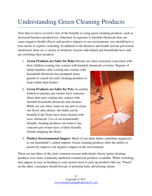# Understanding Green Cleaning Products

Now that we have covered a few of the benefits to using green cleaning products, such as increased business productivity, reduction in exposure to harmful chemicals that can cause negative health effects, and positive impacts to our environment, you should have a base desire to explore switching. In addition to the business and health reasons previously mentioned, there are a variety of domestic reasons individuals and households have and are switching their products.

1. **Green Products are Safer for Baby-**Parents are often extremely concerned with their children coming into contact with harmful chemicals or toxins. Reports of

infant fatalities after coming into contact with household chemicals has prompted many parents to search for safer cleaning products to keep within their homes.

2. **Green Products are Safer for Pets-** In similar fashion to parents, pet owners have concerns about their pets coming into contact with harmful household chemicals and cleaners. While we can often count on our pets to clean our floors after dinner, this habit can be harmful if the floors have been cleaned with toxic chemicals. Use of environmentally friendly cleaning products can remove any concerns pet owners have of their friendly friends mopping the floors.



3. **Positive Environmental Impact-** Much of our daily habits contribute negatively to our household's carbon imprint. Green cleaning products offer the ability to positively improve our negative impact on the environment.

These are just three of the most common reasons individuals choose green cleaning products over more commonly marketed commercial products available. While switching may appear as easy as heading to your nearest store to pick up products that say "Green" on the label, consumers should beware of potential false advertising claims.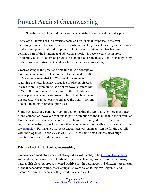## Protect Against Greenwashing

"Eco-friendly, all natural, biodegradable, certified organic and naturally pure"

These are all terms used in advertisements and on labels in response to the ever increasing number of consumers like you who are seeking these types of green cleaning products and green janitorial supplies. In fact this is a strategy that has become a common part of the branding and advertising world. In recent years the in-store availability of so-called green products has increased dramatically. Unfortunately many of the current advertisements and labels are actually greenwashing.

Greenwashing is the practice of making false or deceptive environmental claims. This term was first coined in 1986 by NY environmentalist Jay Westerveld in an essay regarding the hotel industry's practice of placing placards in each room to promote reuse of guest-towels, ostensibly to "save the environment" when in fact the behind-thescenes practices were incongruent. The actual objective of this practice was to cut costs to enhance the hotel's bottom line, not their environmental practices.



Some businesses are genuinely committed to making the world a better, greener place. Many companies, however, want us to pay no attention to the man behind the curtain, as Dorothy and her friends in the Wizard of Oz were encouraged to do. For these companies eco-friendly is little more than a convenient, politically correct slogan. There are [examples.](http://greencleaningproductsllc.com/green-janitorial-cleaning-products-has-epa-design-for-environment-dfe-certification/) For instance Comcast encourages customers to sign up for the eco-bill with the slogan of "PaperLESSisMORE". At the same time Comcast uses huge quantities of paper for direct marketing.

#### **What to Look for to Avoid Greenwashing**

Greenwashed marketing does not always align with reality. The [Organic Consumers](http://www.organicconsumers.org/)  [Association,](http://www.organicconsumers.org/) dedicated to vigilantly testing green cleaning products, found that many natural dish cleaning products tested positive for the carcinogen 1,4-dioxane. As a result of the independent testing, these companies were asked to remove "organic" and "natural" from their labels or they would face a lawsuit.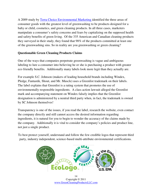A 2009 study by [Terra Choice Environmental Marketing i](http://sinsofgreenwashing.org/)dentified the three areas of consumer goods with the greatest level of greenwashing to be products designed for a baby or child, cosmetics, and green cleaning products. In all three cases, marketers manipulate a consumer's safety concerns and fears by capitalizing on the supposed health and safety benefits of green living. Of the 335 American and Canadian cleaning products they surveyed in their study, they found that 98% of the products committed at least one of the greenwashing sins. So in reality are you greenwashing or green cleaning?

#### **Questionable Green Cleaning Products Claims**

One of the ways that companies perpetrate greenwashing is vague and ambiguous labeling to lure a consumer into believing he or she is purchasing a product with greater eco friendly benefits. Additionally many labels look more legit than they actually are.

For example S.C. Johnson (makers of leading household brands including Windex, Pledge, Fantastik, Shout, and Mr. Muscle) uses a Greenlist trademark on their labels. The label explains that Greenlist is a rating system that promotes the use of environmentally responsible ingredients. A class action lawsuit alleged the Greenlist mark and accompanying statement on Windex falsely implies that the Greenlist designation is administered by a neutral third party when, in fact, the trademark is owned by SC Johnson themselves!

Transparency is one of the issues, if you read the label, research the website, even contact the company directly and still cannot access the desired information regarding ingredients, it is natural for you to begin to wonder the accuracy of the claims made by the company. Additionally it is vital to consider the company's policies and product line, not just a single product.

To best protect yourself, understand and follow the few credible logos that represent third party, industry independent, science-based multi-attribute environmental certifications.



14 Copyright © 2011 [www.GreenCleaningProductsLLC.com](http://www.greencleaningproductsllc.com/)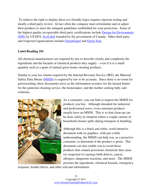To achieve the right to display these eco friendly logos requires rigorous testing and ideally a third party review. In fact often the company must reformulate and or adjust their products to meet the stringent guidelines established for your protection. Some of the highest quality recognizable third party certifications include [Design for Environment](http://greencleaningproductsllc.com/green-janitorial-cleaning-products-has-epa-design-for-environment-dfe-certification/)  [\(DfE\)](http://greencleaningproductsllc.com/green-janitorial-cleaning-products-has-epa-design-for-environment-dfe-certification/) by US EPA, [EcoLabel](http://www.ecologo.org/en/index.asp) founded by the government of Canada. Other third party and respected organizations include [GreenGuard](http://www.greenguard.org/en/index.aspx) and [Green Seal.](http://www.greenseal.org/)

#### **Label Reading 101**

All chemical manufacturers are required by law to describe clearly and completely the ingredients and the hazards of chemical products they supply – even if it is a small quantity such as a quart of natural green home cleaning products.

Similar to your tax returns required by the Internal Revenue Service (IRS), the Material Safety Data Sheets [\(MSDS\)](http://greencleaningproductsllc.com/product-ingredients-included-on-the-labels-and-the-material-safety-data-sheets-msds-for-green-cleaning-products/) is required by law to be accurate. Since there is no room for greenwashing, these documents serve as the information resource for the hazard hunter for the janitorial cleaning service, the homemaker, and the mother seeking baby safe solutions.



As a consumer, you can find or request the MSDS for products you buy. Although intended for industrial and professional users, even consumer products usually have an MSDS. This is so that clean up can be done safely in situation where a couple cartons of household cleaner spills during transport or handling.

Although this is a black and white, word-intensive document with no graphics, with just a little understanding, the MSDS can help you, as a proactive consumer, to determine if the product is green. This document can also enable you to avoid those products that contain poisonous chemicals that cause (or suspected of causing) birth defects, cancer, allergies, dangerous reactions, and more. The MSDS presents the ingredients, chemical hazards, emergency

response, health effects, and other relevant information.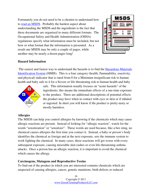Fortunately you do not need to be a chemist to understand how to [read an MSDS.](http://greencleaningproductsllc.com/important-to-know-if-green-cleaning-products-are-safe-find-the-ingredients-and-learn-if-baby-safe-from-material-safety-data-sheets-msds/) Probably the hardest aspect about understanding the MSDS and the ingredients is the fact that these documents are organized in many different formats. The Occupational Safety and Health Administration (OSHA) regulations specify what information must be included, but not how or what format that the information is presented. As a result one MSDS may be only a couple of pages, while another may be nearly a dozen pages long!



#### **Hazard Information**

The easiest and fastest way to understand the hazards is to find the Hazardous Materials [Identification System](http://www.paint.org/hmis/) (HMIS). This is a four category (health, flammability, reactivity, and physical) indicator that is rated from 0 for a Minimum insignificant risk to human health and baby safe to 4 for a Severe or life threatening risk to human health and baby



safe. This information usually focuses on "acute hazards" of the ingredients; this means the immediate effects of a one-time exposure to the product. There are additional descriptions of potential effects the product may have when in contact with eyes or skin or if inhaled or ingested. In short you will know if the product is pretty nasty or mostly harmless.

#### **Allergies**

The MSDS can help you control allergies by knowing if the chemicals which may cause allergic reactions are present. Instead of looking for "allergic reaction", watch for the words "sensitization" or "sensitizer". These words are used because, like a bee sting, no chemical causes allergies the first time you contact it. Instead, a baby or person's body identifies the chemical as foreign and at the next exposure, sets the immune system to work fighting the chemical. In many cases, these reactions will get worse with every subsequent exposure, causing miserable skin rashes or even life-threatening asthma attacks. Once a person has an allergic reaction, it is important to avoid the chemical which causes the allergy.

#### **Carcinogens, Mutagens and Reproductive Toxins**

To find out if the product in which you are interested contains chemicals which are suspected of causing allergies, cancer, genetic mutations, birth defects or reduced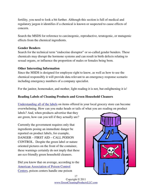fertility, you need to look a bit further. Although this section is full of medical and regulatory jargon it identifies if a chemical is known or suspected to cause effects of concern.

Search the MSDS for reference to carcinogenic, reproductive, teratogenic, or mutagenic effects from the chemical ingredients.

#### **Gender Benders**

Search for the technical term "endocrine disruptor" or so-called gender benders. These chemicals may disrupt the hormone systems and can result in birth defects relating to sexual organs, or influence the proportion of males or females being born.

#### **Other Interesting Information**

Since the MSDS is designed for employee right to know, as well as how to use the chemical responsibly it will provide data relevant to an emergency response scenario including emergency numbers of a company specialist.

For the janitor, homemaker, and mother, light reading it is not, but enlightening it is!

#### **Reading Labels of Cleaning Products and Green Household Cleaners**

[Understanding all of the labels](http://greencleaningproductsllc.com/product-ingredients-included-on-the-labels-and-the-material-safety-data-sheets-msds-for-green-cleaning-products/) on items offered in your local grocery store can become overwhelming. How can you make heads or tails of what you are reading on product

labels? And, when products advertise that they are green, how can you tell if they actually are?

Currently the government requires only that ingredients posing an immediate danger be reported on product labels, for example, DANGER – FIRST AID – CALL POISON CONTROL. Despite the green label or nature oriented pictures on the front of the container, these warnings certainly do not imply that these are eco friendly green household cleaners.

Did you know that on average, according to the [American Association of Poison Control](http://www.aapcc.org/dnn/default.aspx)  [Centers,](http://www.aapcc.org/dnn/default.aspx) poison centers handle one poison

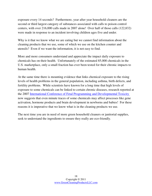exposure every 14 seconds? Furthermore, year after year household cleaners are the second or third largest category of substances associated with calls to poison control centers, with over 216,000 calls made in 2007 alone! Over half of those calls (122,832) were made in response to an incident involving children ages five and under.

Why is it that we know what we are eating but we cannot find information about the cleaning products that we use, some of which we use on the kitchen counter and utensils? Even if we want the information, it is not easy to find.

More and more consumers understand and appreciate the impact daily exposure to chemicals has on their health. Unfortunately of the estimated 85,000 chemicals in the U.S. marketplace, only a small fraction has ever been tested for their chronic impacts to human health.

At the same time there is mounting evidence that links chemical exposure to the rising levels of health problems in the general population, including asthma, birth defects, and fertility problems. While scientists have known for a long time that high levels of exposure to some chemicals can be linked to certain chronic diseases, research reported at the 2007 [International Conference of Fetal Programming and Developmental Toxicity](http://www.gate2biotech.com/pptox-international-conference-on-fetal-programming-and-developmental-toxicity/)  [n](http://www.gate2biotech.com/pptox-international-conference-on-fetal-programming-and-developmental-toxicity/)ow suggests that even minute traces of some chemicals may affect processes like gene activation, hormone products and brain development in newborns and babies! For these reasons it is imperative that we know what is in the cleaning products we use.

The next time you are in need of more green household cleaners or janitorial supplies, seek to understand the ingredients to ensure they really are eco-friendly.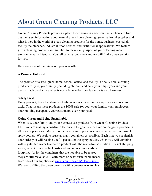# About Green Cleaning Products, LLC

Green Cleaning Products provides a place for consumers and commercial clients to find out the latest information about natural green home cleaning, green janitorial supplies and what is new in the world of green cleaning products for the home, business, custodial, facility maintenance, industrial, food service, and institutional applications. We feature green cleaning products and supplies to make every aspect of your cleaning more environmentally friendly. You tell us what you clean and we will find a green solution for you.

Here are some of the things our products offer:

#### **A Promise Fulfilled**

The promise of a safe, green home, school, office, and facility is finally here; cleaning products for you, your family (including children and pet), your employees and your guests. Each product we offer is not only an effective cleaner, it is also harmless!

#### **Safety First**

Every product, from the stain pen to the window cleaner to the carpet cleaner, is nontoxic. That means these products are 100% safe for you, your family, your employees, your building occupants, your customers, even your pets!

#### **Going Green and Being Sustainable**

When you, your family and your business use products from Green Cleaning Products LLC, you are making a positive difference. Our goal is to deliver on the green promise in all of our operations. Many of our cleaners are super concentrated to be used in reusable spray bottles. We seek to reuse as many containers as possible. Each time you replenish your order you will receive a refill packet for the spray bottles, which you will combine with regular tap water to create a product with the ready-to-use dilution. By not shipping

water, we cut down on fuel costs and you reduce your carbon footprint. As for the containers that are not able to be reused, they are still recyclable. Learn more on what sustainable means from one of our suppliers at [www.YouTube.com/CleansGreen.](http://www.youtube.com/watch?v=0IJq6ftL350) We are fulfilling the green promise with a greener way to clean.